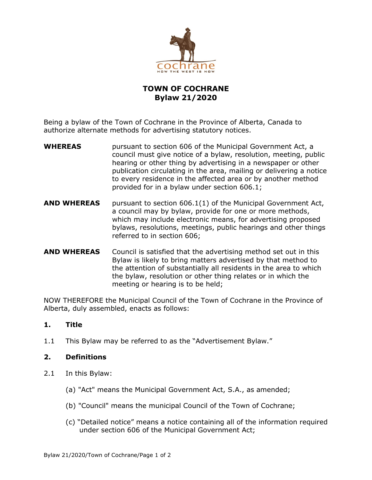

## **TOWN OF COCHRANE Bylaw 21/2020**

Being a bylaw of the Town of Cochrane in the Province of Alberta, Canada to authorize alternate methods for advertising statutory notices.

- **WHEREAS** pursuant to section 606 of the Municipal Government Act, a council must give notice of a bylaw, resolution, meeting, public hearing or other thing by advertising in a newspaper or other publication circulating in the area, mailing or delivering a notice to every residence in the affected area or by another method provided for in a bylaw under section 606.1;
- **AND WHEREAS** pursuant to section 606.1(1) of the Municipal Government Act, a council may by bylaw, provide for one or more methods, which may include electronic means, for advertising proposed bylaws, resolutions, meetings, public hearings and other things referred to in section 606;
- **AND WHEREAS** Council is satisfied that the advertising method set out in this Bylaw is likely to bring matters advertised by that method to the attention of substantially all residents in the area to which the bylaw, resolution or other thing relates or in which the meeting or hearing is to be held;

NOW THEREFORE the Municipal Council of the Town of Cochrane in the Province of Alberta, duly assembled, enacts as follows:

## **1. Title**

1.1 This Bylaw may be referred to as the "Advertisement Bylaw."

## **2. Definitions**

- 2.1 In this Bylaw:
	- (a) "Act" means the Municipal Government Act, S.A., as amended;
	- (b) "Council" means the municipal Council of the Town of Cochrane;
	- (c) "Detailed notice" means a notice containing all of the information required under section 606 of the Municipal Government Act;